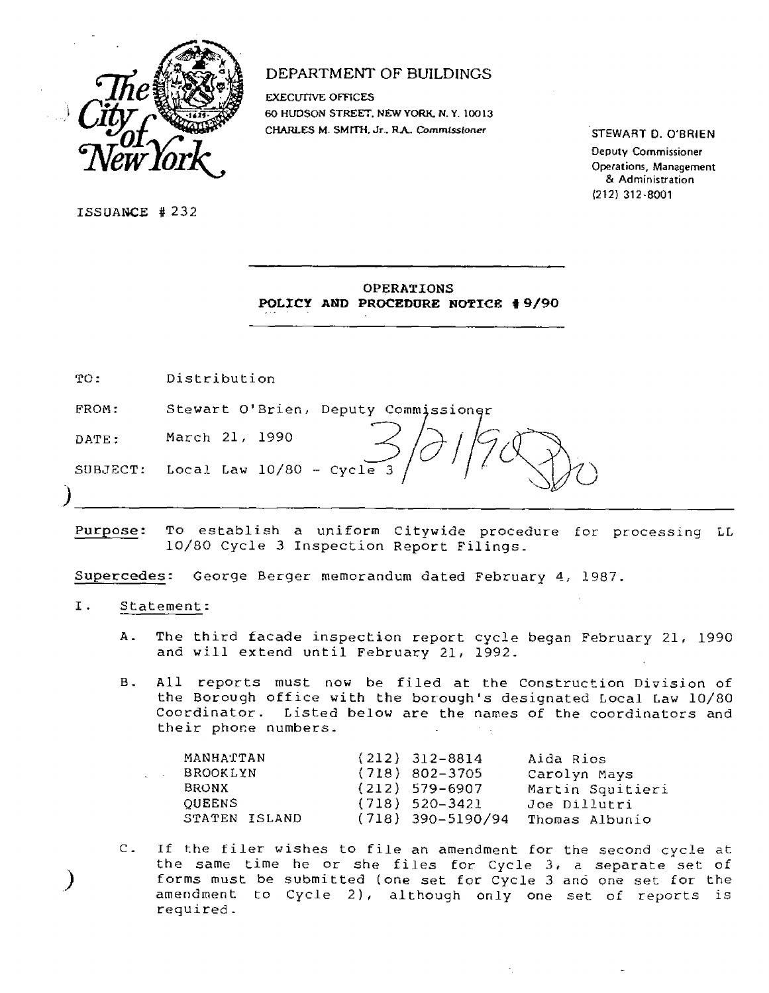

# DEPARTMENT OF BUILDINGS

**EXECUTIVE OFFICES 60 HUDSON STREET. NEW YORK. N.Y. 10013 CHARLES M. SMITH. Jr.. R.A.** *Commissioner* 

STEWART D. O'BRIEN

Deputy Commissioner Operations, Management & Administration 1212) 312-8001

ISSUANCE #232

| <b>OPERATIONS</b> |  |                                   |  |  |  |
|-------------------|--|-----------------------------------|--|--|--|
|                   |  | POLICY AND PROCEDURE NOTICE #9/90 |  |  |  |

TO: Distribution

FROM: Stewart O'Brien, Deputy Commissioner

DATE: March 21, 1990

SUBJECT: Local Law  $10/80 -$  Cycle

Purpose: To establish a uniform Citywide procedure for processing LL 10/80 Cycle 3 Inspection Report Filings\_

Supercedes: George Berger memorandum dated February 4, 1987.

- I. Statement:
	- A. The third facade inspection report cycle began February 21, 1990 and will extend until February 21, 1992.
	- B. All reports must now be filed at the Construction Division of the Borough office with the borough's designated Local Law 10/80 Coordinator. Listed below are the names of the coordinators and their phone numbers.

| MANHATTAN       | $(212)$ 312-8814    | Aida Rios        |
|-----------------|---------------------|------------------|
| <b>BROOKLYN</b> | $(718) 802 - 3705$  | Carolyn Mays     |
| <b>BRONX</b>    | (212) 579-6907      | Martin Squitieri |
| <b>OUEENS</b>   | $(718)$ 520-3421    | Joe Dillutri     |
| STATEN ISLAND   | $(718)$ 390-5190/94 | Thomas Albunio   |

C. If the filer wishes to file an amendment for the second cycle at the same time he or she files for Cycle 3, a separate set of forms must be submitted (one set for Cycle 3 and one set for the amendment to Cycle 2), although only one set of reports is required.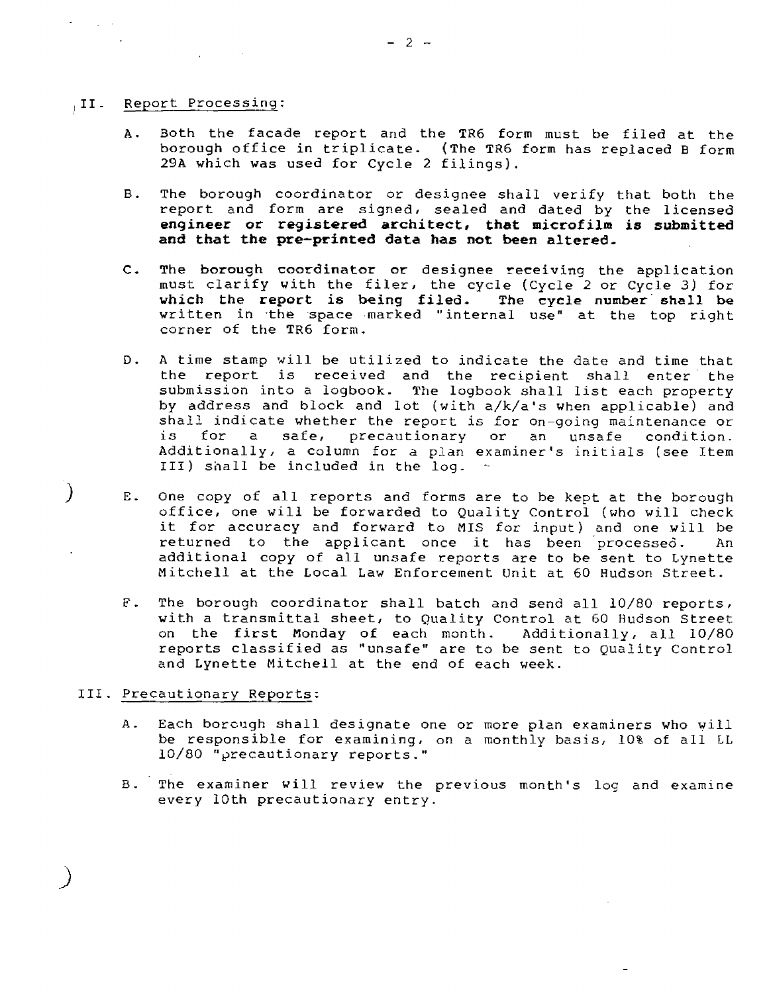### ,II\_ Report Processing:

 $\sim 10^{11}$  km

- A. Both the facade report and the TR6 form must be filed at the borough office in triplicate. (The TR6 form has replaced B form 29A which was used for Cycle 2 filings).
- B. The borough coordinator or designee shall verify that both the report and form are signed, sealed and dated by the licensed **engineer or registered architect, that microfilm is submitted and that the pre—printed data has not been altered.**
- C. The borough coordinator or designee receiving the application must clarify with the filer, the cycle (Cycle 2 or Cycle 3) for **which the report is being filed. The cycle number shall be**  written in the space marked "internal use" at the top right corner of the TR6 form.
- D. A time stamp will be utilized to indicate the date and time that the report is received and the recipient shall enter the submission into a logbook. The logbook shall list each property by address and block and lot (with a/k/a's when applicable) and shall indicate whether the report is for on-going maintenance or is for a safe, precautionary or an unsafe condition. Additionally, a column for a plan examiner's initials (see Item III) shall be included in the log.
- E. One copy of all reports and forms are to be kept at the borough office, one will be forwarded to Quality Control (who will check it for accuracy and forward to MIS for input) and one will be returned to the applicant once it has been processed. An additional copy of all unsafe reports are to be sent to Lynette Mitchell at the Local Law Enforcement Unit at 60 Hudson Street.
- F. The borough coordinator shall batch and send all 10/80 reports, with a transmittal sheet, to Quality Control at 60 Hudson Street on the first Monday of each month. Additionally, all 10/80 reports classified as "unsafe" are to be sent to Quality Control and Lynette Mitchell at the end of each week.

## III. Precautionary Reports:

- A. Each borough shall designate one or more plan examiners who will be responsible for examining, on a monthly basis, 10% of all LL 10/80 "precautionary reports."
- B. The examiner will review the previous month's log and examine every 10th precautionary entry.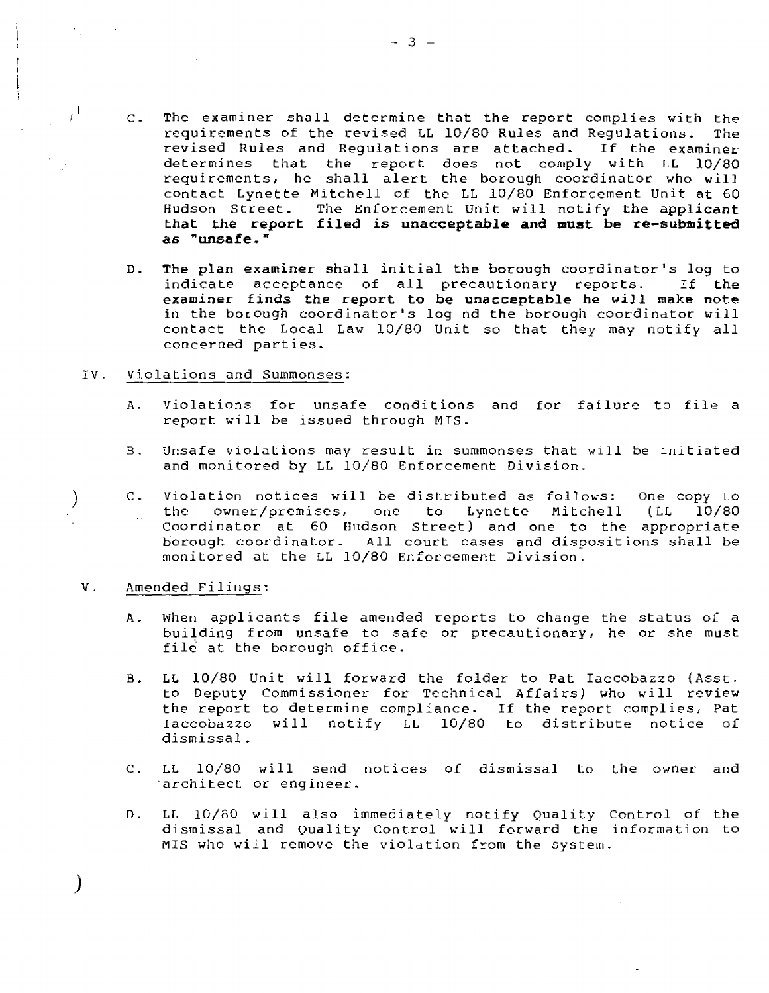- C. The examiner shall determine that the report complies with the requirements of the revised LL 10/80 Rules and Regulations. The<br>revised Rules and Requlations are attached. If the examiner revised Rules and Requlations are attached. determines that the report does not comply with LL 10/80 requirements, he shall alert the borough coordinator who will contact Lynette Mitchell of the LL 10/80 Enforcement Unit at 60 Hudson Street. The Enforcement Unit will notify **the applicant that the report filed is unacceptable and must be re-submitted as "unsafe."**
- **D. The plan examiner shall initial the borough** coordinator's log to indicate acceptance of all precautionary reports. If **the examiner finds the report to be unacceptable he will make note**  in the borough coordinator's log nd the borough coordinator will contact the Local Law 10/80 Unit so that they may notify all concerned parties.

### IV. Violations and Summonses:

- A. Violations for unsafe conditions and for failure to file a report will be issued through MIS.
- B. Unsafe violations may result in summonses that will be initiated and monitored by LL 10/80 Enforcement Division.
- C. violation notices will be distributed as follows: One copy to the owner/premises, one to Lynette Mitchell (LL 10/80 Coordinator at 60 Hudson Street) and one to the appropriate borough coordinator. All court cases and dispositions shall be monitored at the LL 10/80 Enforcement Division.

### V. Amended Filings:

 $\mathcal{V}$ 

 $\tau^1$ 

- A. When applicants file amended reports to change the status of a building from unsafe to safe or precautionary, he or she must file at the borough office.
- B. LL 10/80 Unit will forward the folder to Pat Iaccobazzo (Asst. to Deputy Commissioner for Technical Affairs) who will review the report to determine compliance. If the report complies, Pat Iaccobazzo will notify LL 10/80 to distribute notice of dismissal.
- C. LL 10/80 will send notices of dismissal to the owner and 'architect or engineer.
- D. LL 10/80 will also immediately notify Quality Control of the dismissal and Quality Control will forward the information to MIS who will remove the violation from the system.